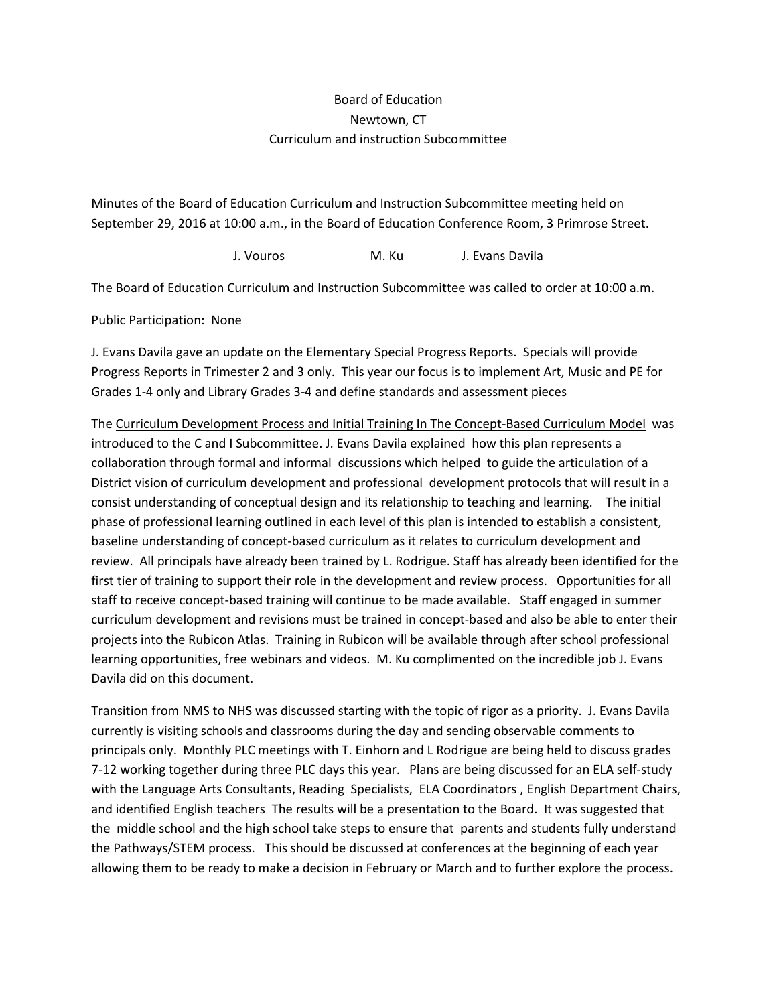## Board of Education Newtown, CT Curriculum and instruction Subcommittee

Minutes of the Board of Education Curriculum and Instruction Subcommittee meeting held on September 29, 2016 at 10:00 a.m., in the Board of Education Conference Room, 3 Primrose Street.

J. Vouros M. Ku J. Evans Davila

The Board of Education Curriculum and Instruction Subcommittee was called to order at 10:00 a.m.

Public Participation: None

J. Evans Davila gave an update on the Elementary Special Progress Reports. Specials will provide Progress Reports in Trimester 2 and 3 only. This year our focus is to implement Art, Music and PE for Grades 1-4 only and Library Grades 3-4 and define standards and assessment pieces

The Curriculum Development Process and Initial Training In The Concept-Based Curriculum Model was introduced to the C and I Subcommittee. J. Evans Davila explained how this plan represents a collaboration through formal and informal discussions which helped to guide the articulation of a District vision of curriculum development and professional development protocols that will result in a consist understanding of conceptual design and its relationship to teaching and learning. The initial phase of professional learning outlined in each level of this plan is intended to establish a consistent, baseline understanding of concept-based curriculum as it relates to curriculum development and review. All principals have already been trained by L. Rodrigue. Staff has already been identified for the first tier of training to support their role in the development and review process. Opportunities for all staff to receive concept-based training will continue to be made available. Staff engaged in summer curriculum development and revisions must be trained in concept-based and also be able to enter their projects into the Rubicon Atlas. Training in Rubicon will be available through after school professional learning opportunities, free webinars and videos. M. Ku complimented on the incredible job J. Evans Davila did on this document.

Transition from NMS to NHS was discussed starting with the topic of rigor as a priority. J. Evans Davila currently is visiting schools and classrooms during the day and sending observable comments to principals only. Monthly PLC meetings with T. Einhorn and L Rodrigue are being held to discuss grades 7-12 working together during three PLC days this year. Plans are being discussed for an ELA self-study with the Language Arts Consultants, Reading Specialists, ELA Coordinators , English Department Chairs, and identified English teachers The results will be a presentation to the Board. It was suggested that the middle school and the high school take steps to ensure that parents and students fully understand the Pathways/STEM process. This should be discussed at conferences at the beginning of each year allowing them to be ready to make a decision in February or March and to further explore the process.